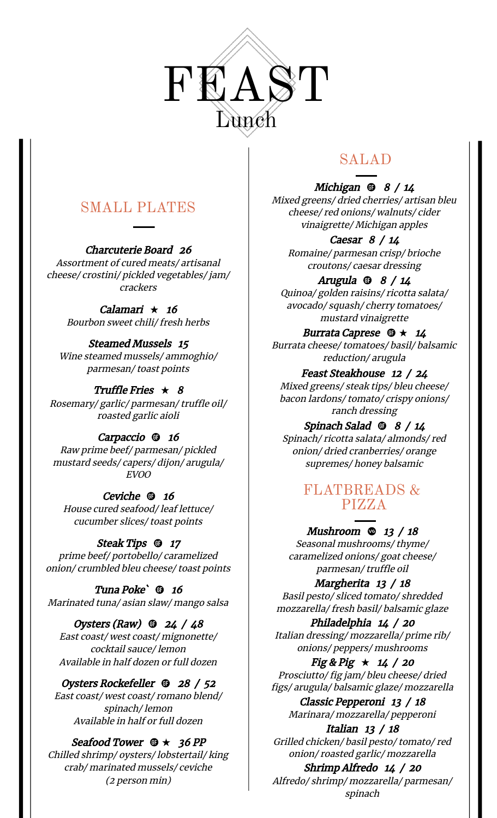

# SMALL PLATES

Charcuterie Board 26 Assortment of cured meats/ artisanal cheese/ crostini/ pickled vegetables/ jam/ crackers

> Calamari  $\star$  16 Bourbon sweet chili/ fresh herbs

Steamed Mussels 15 Wine steamed mussels/ ammoghio/ parmesan/ toast points

Truffle Fries  $\star$  8 Rosemary/ garlic/ parmesan/ truffle oil/ roasted garlic aioli

Carpaccio **to** 16 Raw prime beef/ parmesan/ pickled mustard seeds/ capers/ dijon/ arugula/ EVOO

Ceviche **16** House cured seafood/ leaf lettuce/ cucumber slices/ toast points

Steak Tips **17** prime beef/ portobello/ caramelized onion/ crumbled bleu cheese/ toast points

Tuna Poke<sup>'</sup> **16** Marinated tuna/ asian slaw/ mango salsa

Oysters (Raw)  $\Phi$  24 / 48 East coast/ west coast/ mignonette/ cocktail sauce/ lemon Available in half dozen or full dozen

Oysters Rockefeller  $\Phi$  28 / 52 East coast/ west coast/ romano blend/ spinach/ lemon Available in half or full dozen

Seafood Tower  $\mathbf{\Phi} \star 36 PP$ Chilled shrimp/ oysters/ lobstertail/ king crab/ marinated mussels/ ceviche (2 person min)

# SALAD

Michigan  $\oplus$  8 / 14 Mixed greens/ dried cherries/ artisan bleu cheese/ red onions/ walnuts/ cider vinaigrette/ Michigan apples

Caesar 8 / 14 Romaine/ parmesan crisp/ brioche croutons/ caesar dressing

Arugula  $\oplus$  8 / 14 Quinoa/ golden raisins/ ricotta salata/ avocado/ squash/ cherry tomatoes/ mustard vinaigrette

Burrata Caprese  $\mathbf{\Phi} \star 14$ Burrata cheese/ tomatoes/ basil/ balsamic reduction/ arugula

Feast Steakhouse <sup>12</sup> / 24 Mixed greens/ steak tips/ bleu cheese/ bacon lardons/ tomato/ crispy onions/ ranch dressing

Spinach Salad  $\Phi$  8 / 14 Spinach/ ricotta salata/ almonds/ red onion/ dried cranberries/ orange supremes/ honey balsamic

### FLATBREADS & PIZZA

Mushroom  $\otimes$  13 / 18 Seasonal mushrooms/ thyme/ caramelized onions/ goat cheese/ parmesan/ truffle oil

Margherita 13 / 18 Basil pesto/ sliced tomato/ shredded mozzarella/ fresh basil/ balsamic glaze

Philadelphia 14 / <sup>20</sup> Italian dressing/ mozzarella/ prime rib/ onions/ peppers/ mushrooms

Fig & Pig  $\star$  14 / 20 Prosciutto/ fig jam/ bleu cheese/ dried figs/ arugula/ balsamic glaze/ mozzarella

Classic Pepperoni 13 / 18 Marinara/ mozzarella/ pepperoni

Italian 13 / 18 Grilled chicken/ basil pesto/ tomato/ red onion/ roasted garlic/ mozzarella

Shrimp Alfredo 14 / <sup>20</sup> Alfredo/ shrimp/ mozzarella/ parmesan/ spinach